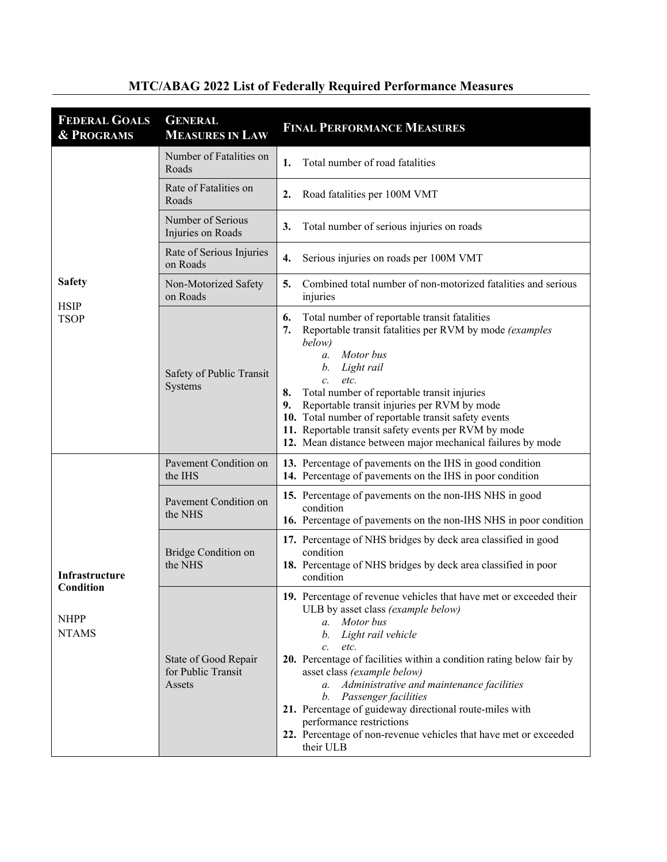| <b>FEDERAL GOALS</b><br><b>&amp; PROGRAMS</b>              | <b>GENERAL</b><br><b>MEASURES IN LAW</b>             | <b>FINAL PERFORMANCE MEASURES</b>                                                                                                                                                                                                                                                                                                                                                                                                                                                                                                                                |
|------------------------------------------------------------|------------------------------------------------------|------------------------------------------------------------------------------------------------------------------------------------------------------------------------------------------------------------------------------------------------------------------------------------------------------------------------------------------------------------------------------------------------------------------------------------------------------------------------------------------------------------------------------------------------------------------|
| <b>Safety</b><br><b>HSIP</b><br><b>TSOP</b>                | Number of Fatalities on<br>Roads                     | Total number of road fatalities<br>1.                                                                                                                                                                                                                                                                                                                                                                                                                                                                                                                            |
|                                                            | Rate of Fatalities on<br>Roads                       | Road fatalities per 100M VMT<br>$\overline{2}$ .                                                                                                                                                                                                                                                                                                                                                                                                                                                                                                                 |
|                                                            | Number of Serious<br>Injuries on Roads               | 3.<br>Total number of serious injuries on roads                                                                                                                                                                                                                                                                                                                                                                                                                                                                                                                  |
|                                                            | Rate of Serious Injuries<br>on Roads                 | 4.<br>Serious injuries on roads per 100M VMT                                                                                                                                                                                                                                                                                                                                                                                                                                                                                                                     |
|                                                            | Non-Motorized Safety<br>on Roads                     | 5.<br>Combined total number of non-motorized fatalities and serious<br>injuries                                                                                                                                                                                                                                                                                                                                                                                                                                                                                  |
|                                                            | Safety of Public Transit<br>Systems                  | Total number of reportable transit fatalities<br>6.<br>Reportable transit fatalities per RVM by mode (examples<br>7.<br>below)<br>Motor bus<br>a.<br>Light rail<br>b.<br>etc.<br>$\mathcal{C}$ .<br>Total number of reportable transit injuries<br>8.<br>Reportable transit injuries per RVM by mode<br>9.<br>10. Total number of reportable transit safety events<br>11. Reportable transit safety events per RVM by mode<br>12. Mean distance between major mechanical failures by mode                                                                        |
| Infrastructure<br>Condition<br><b>NHPP</b><br><b>NTAMS</b> | Pavement Condition on<br>the IHS                     | 13. Percentage of pavements on the IHS in good condition<br>14. Percentage of pavements on the IHS in poor condition                                                                                                                                                                                                                                                                                                                                                                                                                                             |
|                                                            | Pavement Condition on<br>the NHS                     | 15. Percentage of pavements on the non-IHS NHS in good<br>condition<br>16. Percentage of pavements on the non-IHS NHS in poor condition                                                                                                                                                                                                                                                                                                                                                                                                                          |
|                                                            | <b>Bridge Condition on</b><br>the NHS                | 17. Percentage of NHS bridges by deck area classified in good<br>condition<br>18. Percentage of NHS bridges by deck area classified in poor<br>condition                                                                                                                                                                                                                                                                                                                                                                                                         |
|                                                            | State of Good Repair<br>for Public Transit<br>Assets | 19. Percentage of revenue vehicles that have met or exceeded their<br>ULB by asset class (example below)<br>Motor bus<br>$a_{\cdot}$<br>Light rail vehicle<br>b.<br>$c_{\cdot}$<br>etc.<br>20. Percentage of facilities within a condition rating below fair by<br>asset class (example below)<br>Administrative and maintenance facilities<br>$a_{\cdot}$<br>Passenger facilities<br>b.<br>21. Percentage of guideway directional route-miles with<br>performance restrictions<br>22. Percentage of non-revenue vehicles that have met or exceeded<br>their ULB |

## **MTC/ABAG 2022 List of Federally Required Performance Measures**